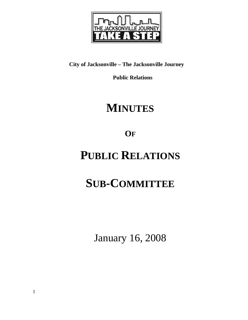

## **City of Jacksonville – The Jacksonville Journey**

 **Public Relations** 

## **MINUTES**

**OF**

## **PUBLIC RELATIONS**

# **SUB-COMMITTEE**

January 16, 2008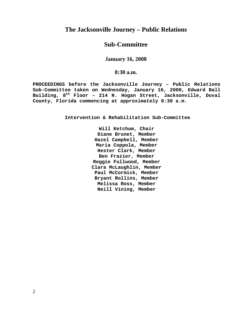### **The Jacksonville Journey – Public Relations**

### **Sub-Committee**

#### **January 16, 2008**

#### **8:30 a.m.**

**PROCEEDINGS before the Jacksonville Journey – Public Relations Sub-Committee taken on Wednesday, January 16, 2008, Edward Ball Building, 8th Floor – 214 N. Hogan Street, Jacksonville, Duval County, Florida commencing at approximately 8:30 a.m.** 

**Intervention & Rehabilitation Sub-Committee** 

**Will Ketchum, Chair Diane Brunet, Member Hazel Campbell, Member Maria Coppola, Member Hester Clark, Member Ben Frazier, Member Reggie Fullwood, Member Clara McLaughlin, Member Paul McCormick, Member Bryant Rollins, Member Melissa Ross, Member Neill Vining, Member**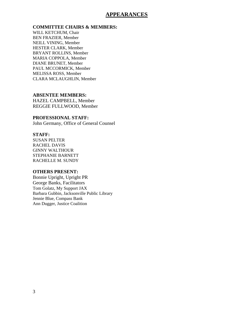#### **APPEARANCES**

#### **COMMITTEE CHAIRS & MEMBERS:**

WILL KETCHUM, Chair BEN FRAZIER, Member NEILL VINING, Member HESTER CLARK, Member BRYANT ROLLINS, Member MARIA COPPOLA, Member DIANE BRUNET, Member PAUL MCCORMICK, Member MELISSA ROSS, Member CLARA MCLAUGHLIN, Member

#### **ABSENTEE MEMBERS:**

HAZEL CAMPBELL, Member REGGIE FULLWOOD, Member

#### **PROFESSIONAL STAFF:**

John Germany, Office of General Counsel

#### **STAFF:**

SUSAN PELTER RACHEL DAVIS GINNY WALTHOUR STEPHANIE BARNETT RACHELLE M. SUNDY

#### **OTHERS PRESENT:**

Bonnie Upright, Upright PR George Banks, Facilitators Tom Golatz, My Support JAX Barbara Gubbin, Jacksonville Public Library Jennie Blue, Compass Bank Ann Dugger, Justice Coalition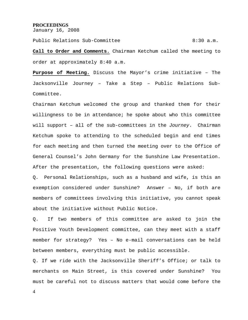#### **PROCEEDINGS**

January 16, 2008

Public Relations Sub-Committee  $8:30$  a.m.

**Call to Order and Comments.** Chairman Ketchum called the meeting to order at approximately 8:40 a.m.

**Purpose of Meeting.** Discuss the Mayor's crime initiative – The Jacksonville Journey – Take a Step – Public Relations Sub-Committee.

Chairman Ketchum welcomed the group and thanked them for their willingness to be in attendance; he spoke about who this committee will support – all of the sub-committees in the *Journey*. Chairman Ketchum spoke to attending to the scheduled begin and end times for each meeting and then turned the meeting over to the Office of General Counsel's John Germany for the Sunshine Law Presentation. After the presentation, the following questions were asked:

Q. Personal Relationships, such as a husband and wife, is this an exemption considered under Sunshine? Answer – No, if both are members of committees involving this initiative, you cannot speak about the initiative without Public Notice.

Q. If two members of this committee are asked to join the Positive Youth Development committee, can they meet with a staff member for strategy? Yes – No e-mail conversations can be held between members, everything must be public accessible.

Q. If we ride with the Jacksonville Sheriff's Office; or talk to merchants on Main Street, is this covered under Sunshine? You must be careful not to discuss matters that would come before the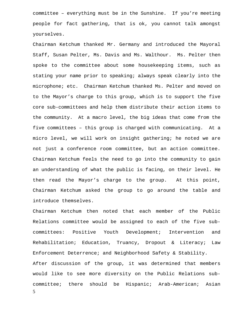committee – everything must be in the Sunshine. If you're meeting people for fact gathering, that is ok, you cannot talk amongst yourselves.

Chairman Ketchum thanked Mr. Germany and introduced the Mayoral Staff, Susan Pelter, Ms. Davis and Ms. Walthour. Ms. Pelter then spoke to the committee about some housekeeping items, such as stating your name prior to speaking; always speak clearly into the microphone; etc. Chairman Ketchum thanked Ms. Pelter and moved on to the Mayor's charge to this group, which is to support the five core sub-committees and help them distribute their action items to the community. At a macro level, the big ideas that come from the five committees – this group is charged with communicating. At a micro level, we will work on insight gathering; he noted we are not just a conference room committee, but an action committee. Chairman Ketchum feels the need to go into the community to gain an understanding of what the public is facing, on their level. He then read the Mayor's charge to the group. At this point, Chairman Ketchum asked the group to go around the table and introduce themselves.

5 Chairman Ketchum then noted that each member of the Public Relations committee would be assigned to each of the five subcommittees: Positive Youth Development; Intervention and Rehabilitation; Education, Truancy, Dropout & Literacy; Law Enforcement Deterrence; and Neighborhood Safety & Stability. After discussion of the group, it was determined that members would like to see more diversity on the Public Relations subcommittee; there should be Hispanic; Arab-American; Asian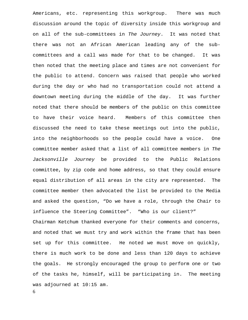Americans, etc. representing this workgroup. There was much discussion around the topic of diversity inside this workgroup and on all of the sub-committees in *The Journey*. It was noted that there was not an African American leading any of the subcommittees and a call was made for that to be changed. It was then noted that the meeting place and times are not convenient for the public to attend. Concern was raised that people who worked during the day or who had no transportation could not attend a downtown meeting during the middle of the day. It was further noted that there should be members of the public on this committee to have their voice heard. Members of this committee then discussed the need to take these meetings out into the public, into the neighborhoods so the people could have a voice. One committee member asked that a list of all committee members in *The Jacksonville Journey* be provided to the Public Relations committee, by zip code and home address, so that they could ensure equal distribution of all areas in the city are represented. The committee member then advocated the list be provided to the Media and asked the question, "Do we have a role, through the Chair to influence the Steering Committee". "Who is our client?" Chairman Ketchum thanked everyone for their comments and concerns, and noted that we must try and work within the frame that has been set up for this committee. He noted we must move on quickly, there is much work to be done and less than 120 days to achieve the goals. He strongly encouraged the group to perform one or two of the tasks he, himself, will be participating in. The meeting was adjourned at 10:15 am.

6